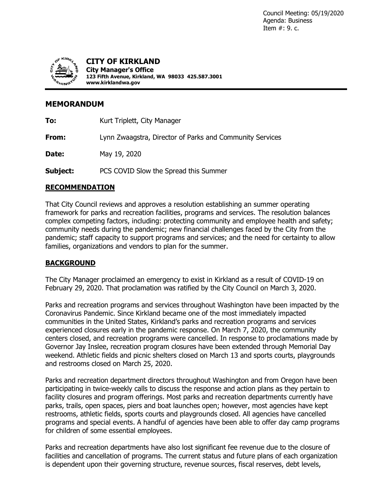

**CITY OF KIRKLAND City Manager's Office 123 Fifth Avenue, Kirkland, WA 98033 425.587.3001 www.kirklandwa.gov**

# **MEMORANDUM**

**To:** Kurt Triplett, City Manager **From:** Lynn Zwaagstra, Director of Parks and Community Services

**Date:** May 19, 2020

**Subject:** PCS COVID Slow the Spread this Summer

# **RECOMMENDATION**

That City Council reviews and approves a resolution establishing an summer operating framework for parks and recreation facilities, programs and services. The resolution balances complex competing factors, including: protecting community and employee health and safety; community needs during the pandemic; new financial challenges faced by the City from the pandemic; staff capacity to support programs and services; and the need for certainty to allow families, organizations and vendors to plan for the summer.

# **BACKGROUND**

The City Manager proclaimed an emergency to exist in Kirkland as a result of COVID-19 on February 29, 2020. That proclamation was ratified by the City Council on March 3, 2020.

Parks and recreation programs and services throughout Washington have been impacted by the Coronavirus Pandemic. Since Kirkland became one of the most immediately impacted communities in the United States, Kirkland's parks and recreation programs and services experienced closures early in the pandemic response. On March 7, 2020, the community centers closed, and recreation programs were cancelled. In response to proclamations made by Governor Jay Inslee, recreation program closures have been extended through Memorial Day weekend. Athletic fields and picnic shelters closed on March 13 and sports courts, playgrounds and restrooms closed on March 25, 2020.

Parks and recreation department directors throughout Washington and from Oregon have been participating in twice-weekly calls to discuss the response and action plans as they pertain to facility closures and program offerings. Most parks and recreation departments currently have parks, trails, open spaces, piers and boat launches open; however, most agencies have kept restrooms, athletic fields, sports courts and playgrounds closed. All agencies have cancelled programs and special events. A handful of agencies have been able to offer day camp programs for children of some essential employees.

Parks and recreation departments have also lost significant fee revenue due to the closure of facilities and cancellation of programs. The current status and future plans of each organization is dependent upon their governing structure, revenue sources, fiscal reserves, debt levels,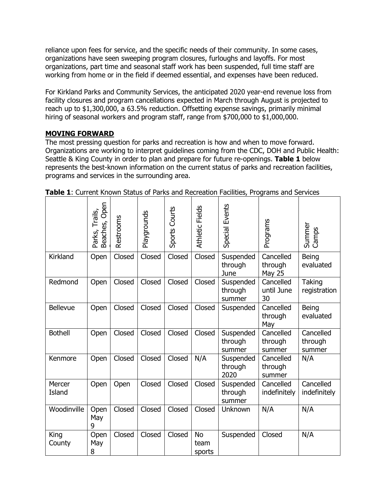reliance upon fees for service, and the specific needs of their community. In some cases, organizations have seen sweeping program closures, furloughs and layoffs. For most organizations, part time and seasonal staff work has been suspended, full time staff are working from home or in the field if deemed essential, and expenses have been reduced.

For Kirkland Parks and Community Services, the anticipated 2020 year-end revenue loss from facility closures and program cancellations expected in March through August is projected to reach up to \$1,300,000, a 63.5% reduction. Offsetting expense savings, primarily minimal hiring of seasonal workers and program staff, range from \$700,000 to \$1,000,000.

## **MOVING FORWARD**

The most pressing question for parks and recreation is how and when to move forward. Organizations are working to interpret guidelines coming from the CDC, DOH and Public Health: Seattle & King County in order to plan and prepare for future re-openings. **Table 1** below represents the best-known information on the current status of parks and recreation facilities, programs and services in the surrounding area.

|                  | Open<br>Trails,<br>Beaches,<br>Parks, | Restrooms | Playgrounds | Sports Courts | <b>Athletic Fields</b>      | Events<br>Special              | Programs                              | Summer<br>Camps                |
|------------------|---------------------------------------|-----------|-------------|---------------|-----------------------------|--------------------------------|---------------------------------------|--------------------------------|
| Kirkland         | Open                                  | Closed    | Closed      | Closed        | Closed                      | Suspended<br>through<br>June   | Cancelled<br>through<br><b>May 25</b> | Being<br>evaluated             |
| Redmond          | Open                                  | Closed    | Closed      | Closed        | Closed                      | Suspended<br>through<br>summer | Cancelled<br>until June<br>30         | Taking<br>registration         |
| <b>Bellevue</b>  | Open                                  | Closed    | Closed      | Closed        | Closed                      | Suspended                      | Cancelled<br>through<br>May           | Being<br>evaluated             |
| <b>Bothell</b>   | Open                                  | Closed    | Closed      | Closed        | Closed                      | Suspended<br>through<br>summer | Cancelled<br>through<br>summer        | Cancelled<br>through<br>summer |
| Kenmore          | Open                                  | Closed    | Closed      | Closed        | N/A                         | Suspended<br>through<br>2020   | Cancelled<br>through<br>summer        | N/A                            |
| Mercer<br>Island | Open                                  | Open      | Closed      | Closed        | Closed                      | Suspended<br>through<br>summer | Cancelled<br>indefinitely             | Cancelled<br>indefinitely      |
| Woodinville      | Open<br>May<br>9                      | Closed    | Closed      | Closed        | Closed                      | <b>Unknown</b>                 | N/A                                   | N/A                            |
| King<br>County   | Open<br>May<br>8                      | Closed    | Closed      | Closed        | <b>No</b><br>team<br>sports | Suspended                      | Closed                                | N/A                            |

**Table 1**: Current Known Status of Parks and Recreation Facilities, Programs and Services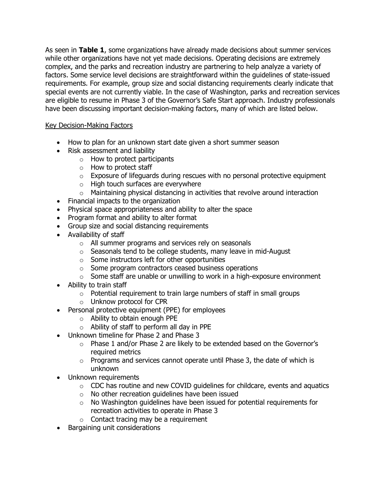As seen in **Table 1**, some organizations have already made decisions about summer services while other organizations have not yet made decisions. Operating decisions are extremely complex, and the parks and recreation industry are partnering to help analyze a variety of factors. Some service level decisions are straightforward within the guidelines of state-issued requirements. For example, group size and social distancing requirements clearly indicate that special events are not currently viable. In the case of Washington, parks and recreation services are eligible to resume in Phase 3 of the Governor's Safe Start approach. Industry professionals have been discussing important decision-making factors, many of which are listed below.

## Key Decision-Making Factors

- How to plan for an unknown start date given a short summer season
- Risk assessment and liability
	- o How to protect participants
	- o How to protect staff
	- $\circ$  Exposure of lifeguards during rescues with no personal protective equipment
	- o High touch surfaces are everywhere
	- o Maintaining physical distancing in activities that revolve around interaction
- Financial impacts to the organization
- Physical space appropriateness and ability to alter the space
- Program format and ability to alter format
- Group size and social distancing requirements
- Availability of staff
	- o All summer programs and services rely on seasonals
	- $\circ$  Seasonals tend to be college students, many leave in mid-August
	- o Some instructors left for other opportunities
	- o Some program contractors ceased business operations
	- o Some staff are unable or unwilling to work in a high-exposure environment
- Ability to train staff
	- $\circ$  Potential requirement to train large numbers of staff in small groups
	- o Unknow protocol for CPR
- Personal protective equipment (PPE) for employees
	- o Ability to obtain enough PPE
	- o Ability of staff to perform all day in PPE
- Unknown timeline for Phase 2 and Phase 3
	- o Phase 1 and/or Phase 2 are likely to be extended based on the Governor's required metrics
	- $\circ$  Programs and services cannot operate until Phase 3, the date of which is unknown
- Unknown requirements
	- o CDC has routine and new COVID guidelines for childcare, events and aquatics
	- o No other recreation guidelines have been issued
	- o No Washington guidelines have been issued for potential requirements for recreation activities to operate in Phase 3
	- $\circ$  Contact tracing may be a requirement
- Bargaining unit considerations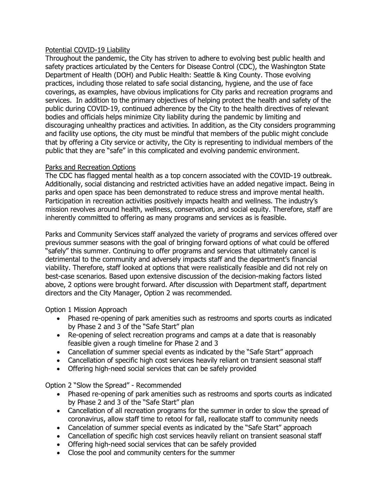### Potential COVID-19 Liability

Throughout the pandemic, the City has striven to adhere to evolving best public health and safety practices articulated by the Centers for Disease Control (CDC), the Washington State Department of Health (DOH) and Public Health: Seattle & King County. Those evolving practices, including those related to safe social distancing, hygiene, and the use of face coverings, as examples, have obvious implications for City parks and recreation programs and services. In addition to the primary objectives of helping protect the health and safety of the public during COVID-19, continued adherence by the City to the health directives of relevant bodies and officials helps minimize City liability during the pandemic by limiting and discouraging unhealthy practices and activities. In addition, as the City considers programming and facility use options, the city must be mindful that members of the public might conclude that by offering a City service or activity, the City is representing to individual members of the public that they are "safe" in this complicated and evolving pandemic environment.

#### Parks and Recreation Options

The CDC has flagged mental health as a top concern associated with the COVID-19 outbreak. Additionally, social distancing and restricted activities have an added negative impact. Being in parks and open space has been demonstrated to reduce stress and improve mental health. Participation in recreation activities positively impacts health and wellness. The industry's mission revolves around health, wellness, conservation, and social equity. Therefore, staff are inherently committed to offering as many programs and services as is feasible.

Parks and Community Services staff analyzed the variety of programs and services offered over previous summer seasons with the goal of bringing forward options of what could be offered "safely" this summer. Continuing to offer programs and services that ultimately cancel is detrimental to the community and adversely impacts staff and the department's financial viability. Therefore, staff looked at options that were realistically feasible and did not rely on best-case scenarios. Based upon extensive discussion of the decision-making factors listed above, 2 options were brought forward. After discussion with Department staff, department directors and the City Manager, Option 2 was recommended.

Option 1 Mission Approach

- Phased re-opening of park amenities such as restrooms and sports courts as indicated by Phase 2 and 3 of the "Safe Start" plan
- Re-opening of select recreation programs and camps at a date that is reasonably feasible given a rough timeline for Phase 2 and 3
- Cancellation of summer special events as indicated by the "Safe Start" approach
- Cancellation of specific high cost services heavily reliant on transient seasonal staff
- Offering high-need social services that can be safely provided

Option 2 "Slow the Spread" - Recommended

- Phased re-opening of park amenities such as restrooms and sports courts as indicated by Phase 2 and 3 of the "Safe Start" plan
- Cancellation of all recreation programs for the summer in order to slow the spread of coronavirus, allow staff time to retool for fall, reallocate staff to community needs
- Cancelation of summer special events as indicated by the "Safe Start" approach
- Cancellation of specific high cost services heavily reliant on transient seasonal staff
- Offering high-need social services that can be safely provided
- Close the pool and community centers for the summer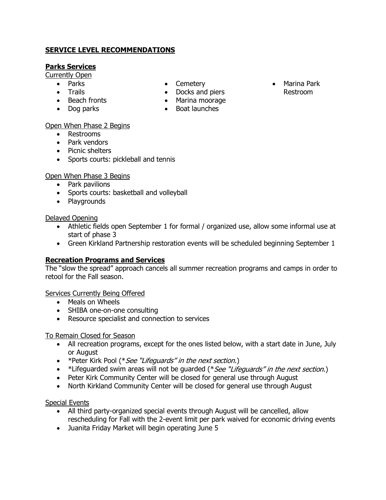## **SERVICE LEVEL RECOMMENDATIONS**

## **Parks Services**

Currently Open

- Parks
- Trails
- Beach fronts
- Dog parks
- Cemetery • Docks and piers
- Marina moorage
- Boat launches

### Open When Phase 2 Begins

- Restrooms
- Park vendors
- Picnic shelters
- Sports courts: pickleball and tennis

## Open When Phase 3 Begins

- Park pavilions
- Sports courts: basketball and volleyball
- Playgrounds

### Delayed Opening

- Athletic fields open September 1 for formal / organized use, allow some informal use at start of phase 3
- Green Kirkland Partnership restoration events will be scheduled beginning September 1

## **Recreation Programs and Services**

The "slow the spread" approach cancels all summer recreation programs and camps in order to retool for the Fall season.

#### Services Currently Being Offered

- Meals on Wheels
- SHIBA one-on-one consulting
- Resource specialist and connection to services

#### To Remain Closed for Season

- All recreation programs, except for the ones listed below, with a start date in June, July or August
- \*Peter Kirk Pool (\**See "Lifeguards" in the next section*.)
- \*Lifeguarded swim areas will not be guarded (\*See "Lifeguards" in the next section.)
- Peter Kirk Community Center will be closed for general use through August
- North Kirkland Community Center will be closed for general use through August

#### Special Events

- All third party-organized special events through August will be cancelled, allow rescheduling for Fall with the 2-event limit per park waived for economic driving events
- Juanita Friday Market will begin operating June 5

• Marina Park Restroom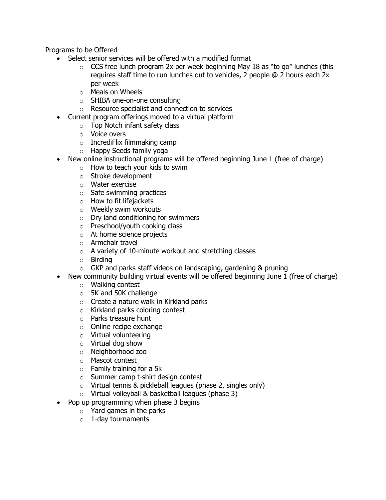Programs to be Offered

- Select senior services will be offered with a modified format
	- $\circ$  CCS free lunch program 2x per week beginning May 18 as "to go" lunches (this requires staff time to run lunches out to vehicles, 2 people @ 2 hours each 2x per week
	- o Meals on Wheels
	- o SHIBA one-on-one consulting
	- o Resource specialist and connection to services
	- Current program offerings moved to a virtual platform
		- o Top Notch infant safety class
		- o Voice overs
		- o IncrediFlix filmmaking camp
		- o Happy Seeds family yoga
- New online instructional programs will be offered beginning June 1 (free of charge)
	- $\circ$  How to teach your kids to swim
	- o Stroke development
	- o Water exercise
	- $\circ$  Safe swimming practices
	- o How to fit lifejackets
	- o Weekly swim workouts
	- o Dry land conditioning for swimmers
	- o Preschool/youth cooking class
	- o At home science projects
	- o Armchair travel
	- $\circ$  A variety of 10-minute workout and stretching classes
	- o Birding
	- o GKP and parks staff videos on landscaping, gardening & pruning
- New community building virtual events will be offered beginning June 1 (free of charge)
	- o Walking contest
	- o 5K and 50K challenge
	- o Create a nature walk in Kirkland parks
	- o Kirkland parks coloring contest
	- o Parks treasure hunt
	- o Online recipe exchange
	- o Virtual volunteering
	- o Virtual dog show
	- o Neighborhood zoo
	- o Mascot contest
	- $\circ$  Family training for a 5k
	- o Summer camp t-shirt design contest
	- o Virtual tennis & pickleball leagues (phase 2, singles only)
	- o Virtual volleyball & basketball leagues (phase 3)
- Pop up programming when phase 3 begins
	- $\circ$  Yard games in the parks
	- $\circ$  1-day tournaments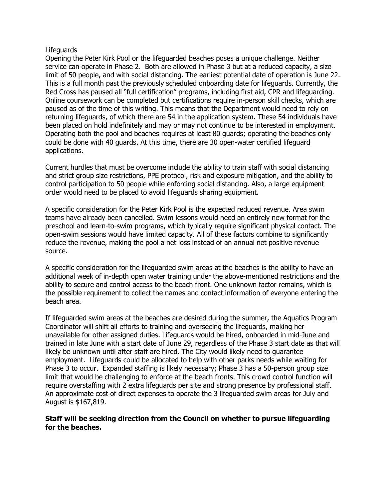#### Lifeguards

Opening the Peter Kirk Pool or the lifeguarded beaches poses a unique challenge. Neither service can operate in Phase 2. Both are allowed in Phase 3 but at a reduced capacity, a size limit of 50 people, and with social distancing. The earliest potential date of operation is June 22. This is a full month past the previously scheduled onboarding date for lifeguards. Currently, the Red Cross has paused all "full certification" programs, including first aid, CPR and lifeguarding. Online coursework can be completed but certifications require in-person skill checks, which are paused as of the time of this writing. This means that the Department would need to rely on returning lifeguards, of which there are 54 in the application system. These 54 individuals have been placed on hold indefinitely and may or may not continue to be interested in employment. Operating both the pool and beaches requires at least 80 guards; operating the beaches only could be done with 40 guards. At this time, there are 30 open-water certified lifeguard applications.

Current hurdles that must be overcome include the ability to train staff with social distancing and strict group size restrictions, PPE protocol, risk and exposure mitigation, and the ability to control participation to 50 people while enforcing social distancing. Also, a large equipment order would need to be placed to avoid lifeguards sharing equipment.

A specific consideration for the Peter Kirk Pool is the expected reduced revenue. Area swim teams have already been cancelled. Swim lessons would need an entirely new format for the preschool and learn-to-swim programs, which typically require significant physical contact. The open-swim sessions would have limited capacity. All of these factors combine to significantly reduce the revenue, making the pool a net loss instead of an annual net positive revenue source.

A specific consideration for the lifeguarded swim areas at the beaches is the ability to have an additional week of in-depth open water training under the above-mentioned restrictions and the ability to secure and control access to the beach front. One unknown factor remains, which is the possible requirement to collect the names and contact information of everyone entering the beach area.

If lifeguarded swim areas at the beaches are desired during the summer, the Aquatics Program Coordinator will shift all efforts to training and overseeing the lifeguards, making her unavailable for other assigned duties. Lifeguards would be hired, onboarded in mid-June and trained in late June with a start date of June 29, regardless of the Phase 3 start date as that will likely be unknown until after staff are hired. The City would likely need to guarantee employment. Lifeguards could be allocated to help with other parks needs while waiting for Phase 3 to occur. Expanded staffing is likely necessary; Phase 3 has a 50-person group size limit that would be challenging to enforce at the beach fronts. This crowd control function will require overstaffing with 2 extra lifeguards per site and strong presence by professional staff. An approximate cost of direct expenses to operate the 3 lifeguarded swim areas for July and August is \$167,819.

#### **Staff will be seeking direction from the Council on whether to pursue lifeguarding for the beaches.**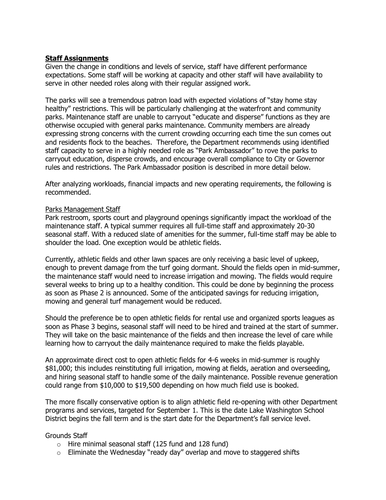### **Staff Assignments**

Given the change in conditions and levels of service, staff have different performance expectations. Some staff will be working at capacity and other staff will have availability to serve in other needed roles along with their regular assigned work.

The parks will see a tremendous patron load with expected violations of "stay home stay healthy" restrictions. This will be particularly challenging at the waterfront and community parks. Maintenance staff are unable to carryout "educate and disperse" functions as they are otherwise occupied with general parks maintenance. Community members are already expressing strong concerns with the current crowding occurring each time the sun comes out and residents flock to the beaches. Therefore, the Department recommends using identified staff capacity to serve in a highly needed role as "Park Ambassador" to rove the parks to carryout education, disperse crowds, and encourage overall compliance to City or Governor rules and restrictions. The Park Ambassador position is described in more detail below.

After analyzing workloads, financial impacts and new operating requirements, the following is recommended.

#### Parks Management Staff

Park restroom, sports court and playground openings significantly impact the workload of the maintenance staff. A typical summer requires all full-time staff and approximately 20-30 seasonal staff. With a reduced slate of amenities for the summer, full-time staff may be able to shoulder the load. One exception would be athletic fields.

Currently, athletic fields and other lawn spaces are only receiving a basic level of upkeep, enough to prevent damage from the turf going dormant. Should the fields open in mid-summer, the maintenance staff would need to increase irrigation and mowing. The fields would require several weeks to bring up to a healthy condition. This could be done by beginning the process as soon as Phase 2 is announced. Some of the anticipated savings for reducing irrigation, mowing and general turf management would be reduced.

Should the preference be to open athletic fields for rental use and organized sports leagues as soon as Phase 3 begins, seasonal staff will need to be hired and trained at the start of summer. They will take on the basic maintenance of the fields and then increase the level of care while learning how to carryout the daily maintenance required to make the fields playable.

An approximate direct cost to open athletic fields for 4-6 weeks in mid-summer is roughly \$81,000; this includes reinstituting full irrigation, mowing at fields, aeration and overseeding, and hiring seasonal staff to handle some of the daily maintenance. Possible revenue generation could range from \$10,000 to \$19,500 depending on how much field use is booked.

The more fiscally conservative option is to align athletic field re-opening with other Department programs and services, targeted for September 1. This is the date Lake Washington School District begins the fall term and is the start date for the Department's fall service level.

#### Grounds Staff

- $\circ$  Hire minimal seasonal staff (125 fund and 128 fund)
- $\circ$  Eliminate the Wednesday "ready day" overlap and move to staggered shifts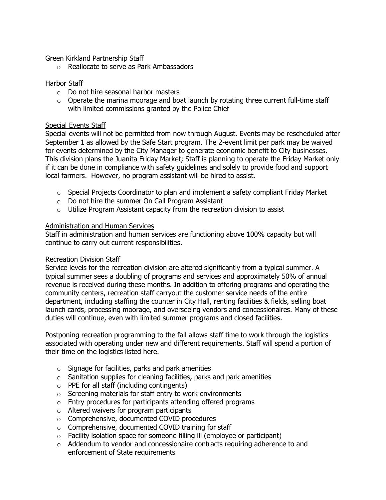Green Kirkland Partnership Staff

o Reallocate to serve as Park Ambassadors

#### Harbor Staff

- o Do not hire seasonal harbor masters
- $\circ$  Operate the marina moorage and boat launch by rotating three current full-time staff with limited commissions granted by the Police Chief

#### Special Events Staff

Special events will not be permitted from now through August. Events may be rescheduled after September 1 as allowed by the Safe Start program. The 2-event limit per park may be waived for events determined by the City Manager to generate economic benefit to City businesses. This division plans the Juanita Friday Market; Staff is planning to operate the Friday Market only if it can be done in compliance with safety guidelines and solely to provide food and support local farmers. However, no program assistant will be hired to assist.

- $\circ$  Special Projects Coordinator to plan and implement a safety compliant Friday Market
- o Do not hire the summer On Call Program Assistant
- o Utilize Program Assistant capacity from the recreation division to assist

#### Administration and Human Services

Staff in administration and human services are functioning above 100% capacity but will continue to carry out current responsibilities.

#### Recreation Division Staff

Service levels for the recreation division are altered significantly from a typical summer. A typical summer sees a doubling of programs and services and approximately 50% of annual revenue is received during these months. In addition to offering programs and operating the community centers, recreation staff carryout the customer service needs of the entire department, including staffing the counter in City Hall, renting facilities & fields, selling boat launch cards, processing moorage, and overseeing vendors and concessionaires. Many of these duties will continue, even with limited summer programs and closed facilities.

Postponing recreation programming to the fall allows staff time to work through the logistics associated with operating under new and different requirements. Staff will spend a portion of their time on the logistics listed here.

- $\circ$  Signage for facilities, parks and park amenities
- $\circ$  Sanitation supplies for cleaning facilities, parks and park amenities
- o PPE for all staff (including contingents)
- o Screening materials for staff entry to work environments
- o Entry procedures for participants attending offered programs
- o Altered waivers for program participants
- o Comprehensive, documented COVID procedures
- o Comprehensive, documented COVID training for staff
- $\circ$  Facility isolation space for someone filling ill (employee or participant)
- $\circ$  Addendum to vendor and concessionaire contracts requiring adherence to and enforcement of State requirements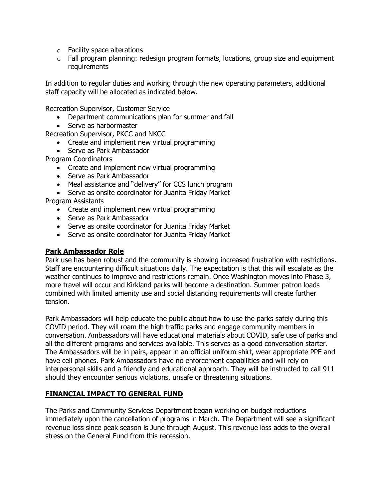- o Facility space alterations
- $\circ$  Fall program planning: redesign program formats, locations, group size and equipment requirements

In addition to regular duties and working through the new operating parameters, additional staff capacity will be allocated as indicated below.

Recreation Supervisor, Customer Service

- Department communications plan for summer and fall
- Serve as harbormaster

Recreation Supervisor, PKCC and NKCC

- Create and implement new virtual programming
- Serve as Park Ambassador

Program Coordinators

- Create and implement new virtual programming
- Serve as Park Ambassador
- Meal assistance and "delivery" for CCS lunch program
- Serve as onsite coordinator for Juanita Friday Market

Program Assistants

- Create and implement new virtual programming
- Serve as Park Ambassador
- Serve as onsite coordinator for Juanita Friday Market
- Serve as onsite coordinator for Juanita Friday Market

#### **Park Ambassador Role**

Park use has been robust and the community is showing increased frustration with restrictions. Staff are encountering difficult situations daily. The expectation is that this will escalate as the weather continues to improve and restrictions remain. Once Washington moves into Phase 3, more travel will occur and Kirkland parks will become a destination. Summer patron loads combined with limited amenity use and social distancing requirements will create further tension.

Park Ambassadors will help educate the public about how to use the parks safely during this COVID period. They will roam the high traffic parks and engage community members in conversation. Ambassadors will have educational materials about COVID, safe use of parks and all the different programs and services available. This serves as a good conversation starter. The Ambassadors will be in pairs, appear in an official uniform shirt, wear appropriate PPE and have cell phones. Park Ambassadors have no enforcement capabilities and will rely on interpersonal skills and a friendly and educational approach. They will be instructed to call 911 should they encounter serious violations, unsafe or threatening situations.

#### **FINANCIAL IMPACT TO GENERAL FUND**

The Parks and Community Services Department began working on budget reductions immediately upon the cancellation of programs in March. The Department will see a significant revenue loss since peak season is June through August. This revenue loss adds to the overall stress on the General Fund from this recession.